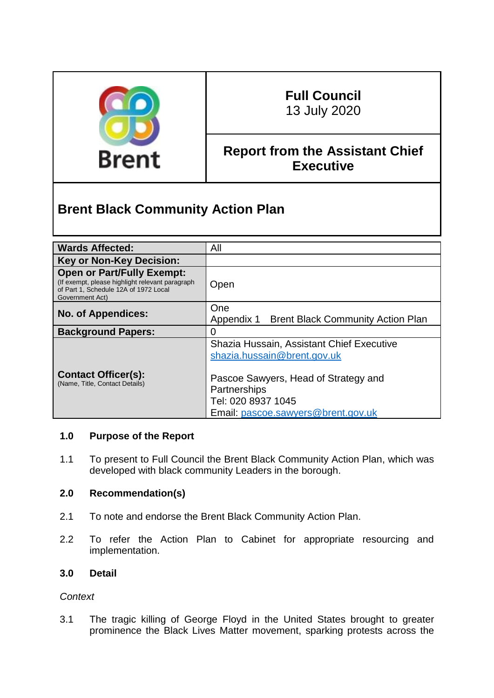

# **Full Council**

13 July 2020

# **Report from the Assistant Chief Executive**

# **Brent Black Community Action Plan**

| <b>Wards Affected:</b>                                                                                                                            | All                                                                                                                              |  |
|---------------------------------------------------------------------------------------------------------------------------------------------------|----------------------------------------------------------------------------------------------------------------------------------|--|
| <b>Key or Non-Key Decision:</b>                                                                                                                   |                                                                                                                                  |  |
| <b>Open or Part/Fully Exempt:</b><br>(If exempt, please highlight relevant paragraph)<br>of Part 1, Schedule 12A of 1972 Local<br>Government Act) | Open                                                                                                                             |  |
| <b>No. of Appendices:</b>                                                                                                                         | One<br>Appendix 1 Brent Black Community Action Plan                                                                              |  |
| <b>Background Papers:</b>                                                                                                                         | 0                                                                                                                                |  |
| <b>Contact Officer(s):</b><br>(Name, Title, Contact Details)                                                                                      | Shazia Hussain, Assistant Chief Executive<br>shazia.hussain@brent.gov.uk<br>Pascoe Sawyers, Head of Strategy and<br>Partnerships |  |
|                                                                                                                                                   | Tel: 020 8937 1045<br>Email: pascoe.sawyers@brent.gov.uk                                                                         |  |

## **1.0 Purpose of the Report**

1.1 To present to Full Council the Brent Black Community Action Plan, which was developed with black community Leaders in the borough.

## **2.0 Recommendation(s)**

- 2.1 To note and endorse the Brent Black Community Action Plan.
- 2.2 To refer the Action Plan to Cabinet for appropriate resourcing and implementation.

## **3.0 Detail**

## *Context*

3.1 The tragic killing of George Floyd in the United States brought to greater prominence the Black Lives Matter movement, sparking protests across the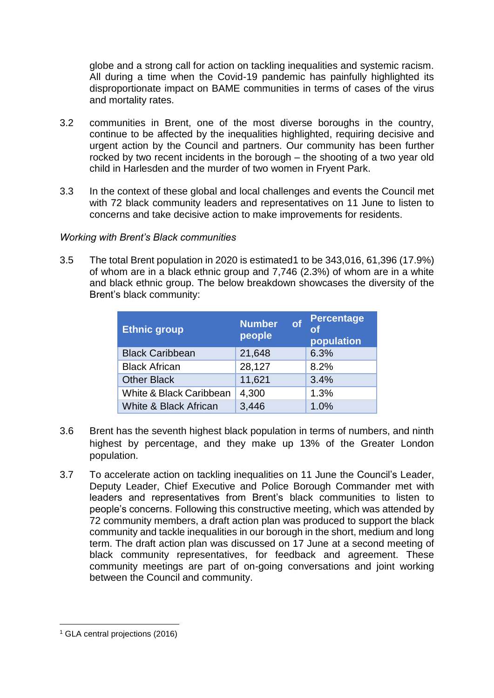globe and a strong call for action on tackling inequalities and systemic racism. All during a time when the Covid-19 pandemic has painfully highlighted its disproportionate impact on BAME communities in terms of cases of the virus and mortality rates.

- 3.2 communities in Brent, one of the most diverse boroughs in the country, continue to be affected by the inequalities highlighted, requiring decisive and urgent action by the Council and partners. Our community has been further rocked by two recent incidents in the borough – the shooting of a two year old child in Harlesden and the murder of two women in Fryent Park.
- 3.3 In the context of these global and local challenges and events the Council met with 72 black community leaders and representatives on 11 June to listen to concerns and take decisive action to make improvements for residents.

#### *Working with Brent's Black communities*

3.5 The total Brent population in 2020 is estimated1 to be 343,016, 61,396 (17.9%) of whom are in a black ethnic group and 7,746 (2.3%) of whom are in a white and black ethnic group. The below breakdown showcases the diversity of the Brent's black community:

| <b>Ethnic group</b>     | <b>Number</b><br>of<br>people | <b>Percentage</b><br>population |
|-------------------------|-------------------------------|---------------------------------|
| <b>Black Caribbean</b>  | 21,648                        | 6.3%                            |
| <b>Black African</b>    | 28,127                        | 8.2%                            |
| <b>Other Black</b>      | 11,621                        | 3.4%                            |
| White & Black Caribbean | 4,300                         | 1.3%                            |
| White & Black African   | 3,446                         | 1.0%                            |

- 3.6 Brent has the seventh highest black population in terms of numbers, and ninth highest by percentage, and they make up 13% of the Greater London population.
- 3.7 To accelerate action on tackling inequalities on 11 June the Council's Leader, Deputy Leader, Chief Executive and Police Borough Commander met with leaders and representatives from Brent's black communities to listen to people's concerns. Following this constructive meeting, which was attended by 72 community members, a draft action plan was produced to support the black community and tackle inequalities in our borough in the short, medium and long term. The draft action plan was discussed on 17 June at a second meeting of black community representatives, for feedback and agreement. These community meetings are part of on-going conversations and joint working between the Council and community.

<sup>1</sup> <sup>1</sup> GLA central projections (2016)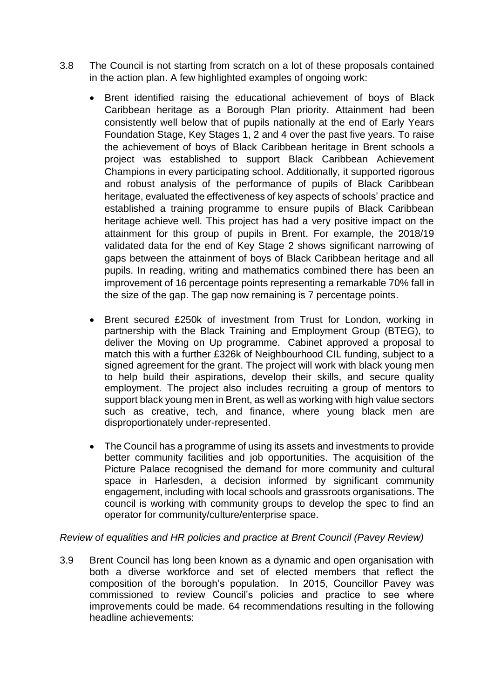- 3.8 The Council is not starting from scratch on a lot of these proposals contained in the action plan. A few highlighted examples of ongoing work:
	- Brent identified raising the educational achievement of boys of Black Caribbean heritage as a Borough Plan priority. Attainment had been consistently well below that of pupils nationally at the end of Early Years Foundation Stage, Key Stages 1, 2 and 4 over the past five years. To raise the achievement of boys of Black Caribbean heritage in Brent schools a project was established to support Black Caribbean Achievement Champions in every participating school. Additionally, it supported rigorous and robust analysis of the performance of pupils of Black Caribbean heritage, evaluated the effectiveness of key aspects of schools' practice and established a training programme to ensure pupils of Black Caribbean heritage achieve well. This project has had a very positive impact on the attainment for this group of pupils in Brent. For example, the 2018/19 validated data for the end of Key Stage 2 shows significant narrowing of gaps between the attainment of boys of Black Caribbean heritage and all pupils. In reading, writing and mathematics combined there has been an improvement of 16 percentage points representing a remarkable 70% fall in the size of the gap. The gap now remaining is 7 percentage points.
	- Brent secured £250k of investment from Trust for London, working in partnership with the Black Training and Employment Group (BTEG), to deliver the Moving on Up programme. Cabinet approved a proposal to match this with a further £326k of Neighbourhood CIL funding, subject to a signed agreement for the grant. The project will work with black young men to help build their aspirations, develop their skills, and secure quality employment. The project also includes recruiting a group of mentors to support black young men in Brent, as well as working with high value sectors such as creative, tech, and finance, where young black men are disproportionately under-represented.
	- The Council has a programme of using its assets and investments to provide better community facilities and job opportunities. The acquisition of the Picture Palace recognised the demand for more community and cultural space in Harlesden, a decision informed by significant community engagement, including with local schools and grassroots organisations. The council is working with community groups to develop the spec to find an operator for community/culture/enterprise space.

## *Review of equalities and HR policies and practice at Brent Council (Pavey Review)*

3.9 Brent Council has long been known as a dynamic and open organisation with both a diverse workforce and set of elected members that reflect the composition of the borough's population. In 2015, Councillor Pavey was commissioned to review Council's policies and practice to see where improvements could be made. 64 recommendations resulting in the following headline achievements: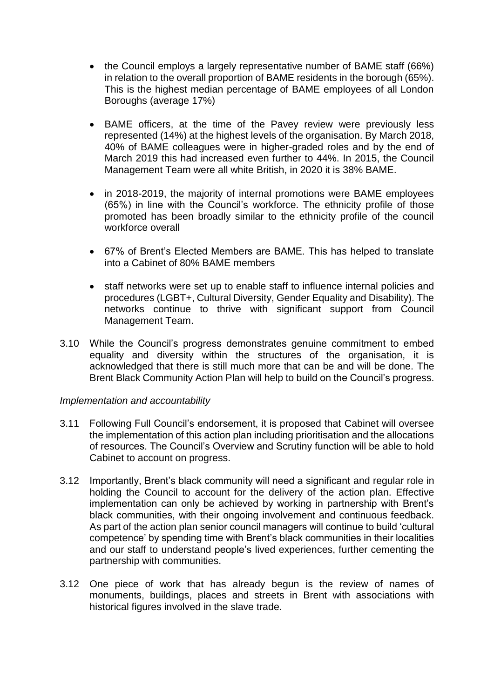- the Council employs a largely representative number of BAME staff (66%) in relation to the overall proportion of BAME residents in the borough (65%). This is the highest median percentage of BAME employees of all London Boroughs (average 17%)
- BAME officers, at the time of the Pavey review were previously less represented (14%) at the highest levels of the organisation. By March 2018, 40% of BAME colleagues were in higher-graded roles and by the end of March 2019 this had increased even further to 44%. In 2015, the Council Management Team were all white British, in 2020 it is 38% BAME.
- in 2018-2019, the majority of internal promotions were BAME employees (65%) in line with the Council's workforce. The ethnicity profile of those promoted has been broadly similar to the ethnicity profile of the council workforce overall
- 67% of Brent's Elected Members are BAME. This has helped to translate into a Cabinet of 80% BAME members
- staff networks were set up to enable staff to influence internal policies and procedures (LGBT+, Cultural Diversity, Gender Equality and Disability). The networks continue to thrive with significant support from Council Management Team.
- 3.10 While the Council's progress demonstrates genuine commitment to embed equality and diversity within the structures of the organisation, it is acknowledged that there is still much more that can be and will be done. The Brent Black Community Action Plan will help to build on the Council's progress.

## *Implementation and accountability*

- 3.11 Following Full Council's endorsement, it is proposed that Cabinet will oversee the implementation of this action plan including prioritisation and the allocations of resources. The Council's Overview and Scrutiny function will be able to hold Cabinet to account on progress.
- 3.12 Importantly, Brent's black community will need a significant and regular role in holding the Council to account for the delivery of the action plan. Effective implementation can only be achieved by working in partnership with Brent's black communities, with their ongoing involvement and continuous feedback. As part of the action plan senior council managers will continue to build 'cultural competence' by spending time with Brent's black communities in their localities and our staff to understand people's lived experiences, further cementing the partnership with communities.
- 3.12 One piece of work that has already begun is the review of names of monuments, buildings, places and streets in Brent with associations with historical figures involved in the slave trade.